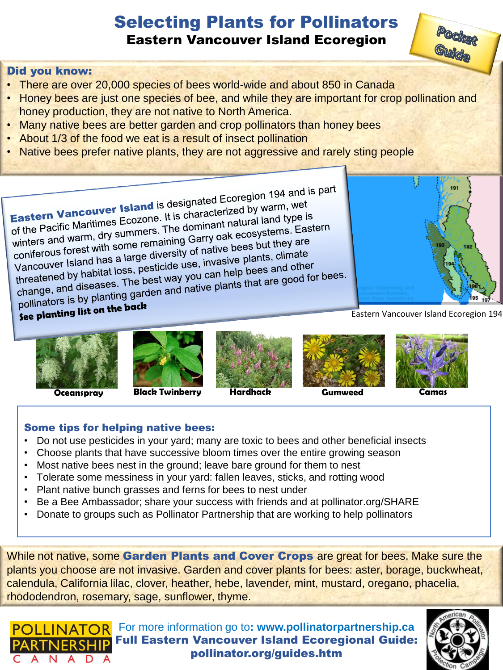## Selecting Plants for Pollinators Eastern Vancouver Island Ecoregion

## Did you know:

- There are over 20,000 species of bees world-wide and about 850 in Canada
- Honey bees are just one species of bee, and while they are important for crop pollination and honey production, they are not native to North America.
- Many native bees are better garden and crop pollinators than honey bees
- About 1/3 of the food we eat is a result of insect pollination
- Native bees prefer native plants, they are not aggressive and rarely sting people

Eastern Vancouver Island is designated Ecoregion 194 and is part<br>Eastern Vancouver Island is designated Ecoregion 194 and is part Eastern Vancouver Island is designated Ecoregion 194 and<br>of the Pacific Maritimes Ecozone. It is characterized by warm, wet<br>of the Pacific Maritimes Ecozone. The dominant natural land type is Eastern Vancouver Islams is a characterized by Warn, we<br>of the Pacific Maritimes Ecozone. It is characterized by Warn, we<br>winters and warm, dry summers. The dominant natural land type is<br>winters and warm, dry summers. The of the Pacific Maritimes Ecozone. The dominant natural land type to<br>winters and warm, dry summers. The dominant natural land type to<br>coniferous forest with some remaining Garry oak ecosystems. Eastern<br>coniferous forest wit winters and warm, dry summers. The Garry oak ecosystems. Ex-<br>coniferous forest with some remaining Garry oak ecosystems. Ex-<br>Vancouver Island has a large diversity of native bees but they are<br>Vancouver Island has a large d coniferous forest with some remaining of native bees but may all<br>Vancouver Island has a large diversity of native plants, climate<br>threatened by habitat loss, pesticide use, invasive plants, climate<br>and diseases. The best w Vancouver Island has a large diversity use, invasive plants, clinically<br>threatened by habitat loss, pesticide use, invasive plants, clinical<br>change, and diseases. The best way you can help bees and other<br>change, and diseas Vancouver islands, pesticide use, investigate the bees and other<br>threatened by habitat loss, pesticide use, investigate bees and other<br>change, and diseases. The best way you can help bees and other<br>pollinators is by planti

pollinators is by planting back





**Oceanspray Black Twinberry Hardhack Gumweed Camas**







Eastern Vancouver Island Ecoregion 194

Guide

191

## Some tips for helping native bees:

- Do not use pesticides in your yard; many are toxic to bees and other beneficial insects
- Choose plants that have successive bloom times over the entire growing season
- Most native bees nest in the ground; leave bare ground for them to nest
- Tolerate some messiness in your yard: fallen leaves, sticks, and rotting wood
- Plant native bunch grasses and ferns for bees to nest under
- Be a Bee Ambassador; share your success with friends and at pollinator.org/SHARE
- Donate to groups such as Pollinator Partnership that are working to help pollinators

While not native, some Garden Plants and Cover Crops are great for bees. Make sure the plants you choose are not invasive. Garden and cover plants for bees: aster, borage, buckwheat, calendula, California lilac, clover, heather, hebe, lavender, mint, mustard, oregano, phacelia, rhododendron, rosemary, sage, sunflower, thyme.

For more information go to**: www.pollinatorpartnership.ca** Full Eastern Vancouver Island Ecoregional Guide: pollinator.org/guides.htm ANADA